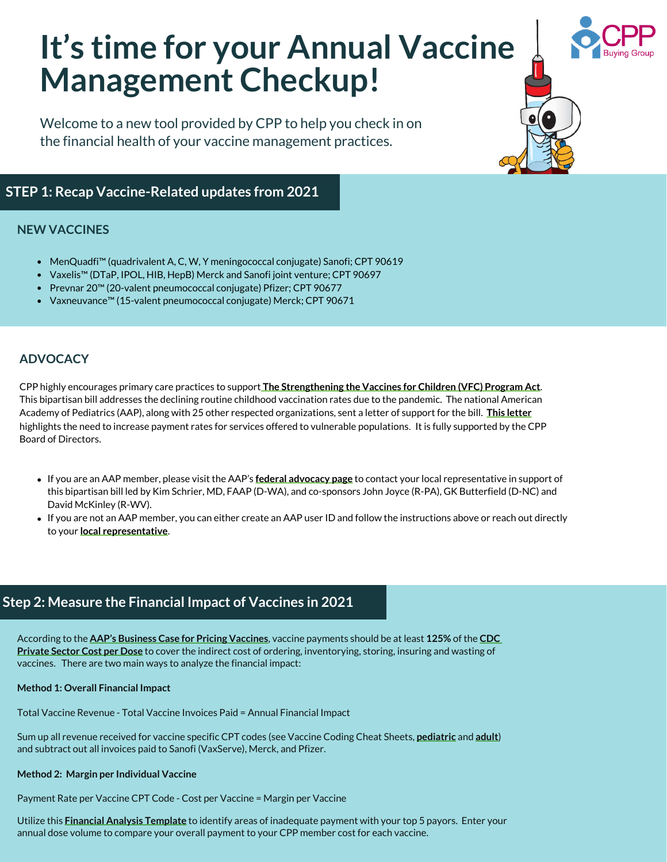# **It's time for your Annual Vaccine Management Checkup!**

Welcome to a new tool provided by CPP to help you check in on the financial health of your vaccine management practices.

# **STEP 1: Recap Vaccine-Related updates from 2021**

#### **NEW VACCINES**

- MenQuadfi™ (quadrivalent A, C, W, Y meningococcal conjugate) Sanofi; CPT 90619
- Vaxelis™ (DTaP, IPOL, HIB, HepB) Merck and Sanofi joint venture; CPT 90697
- Prevnar 20™ (20-valent pneumococcal conjugate) Pfizer; CPT 90677
- Vaxneuvance™ (15-valent pneumococcal conjugate) Merck; CPT 90671

#### **ADVOCACY**

Board of Directors. CPP highly encourages primary care practices to support **[The Strengthening the Vaccines for Children \(VFC\) Program Act](https://downloads.aap.org/DOFA/HR2347%20Bill%20Text.pdf)**. This bipartisan bill addresses the declining routine childhood vaccination rates due to the pandemic. The national American Academy of Pediatrics (AAP), along with 25 other respected organizations, sent a letter of support for the bill. **[This letter](https://www.aafp.org/dam/AAFP/documents/advocacy/prevention/vaccines/LT-House-StrengtheningVaccinesChildrenProgramAct-041621.pdf)** highlights the need to increase payment rates for services offered to vulnerable populations. It is fully supported by the CPP

- If you are an AAP member, please visit the AAP's **[federal advocacy page](https://www.aap.org/en/my-account/login/)** to contact your local representative in support of this bipartisan bill led by Kim Schrier, MD, FAAP (D-WA), and co-sponsors John Joyce (R-PA), GK Butterfield (D-NC) and David McKinley (R-WV).
- If you are not an AAP member, you can either create an AAP user ID and follow the instructions above or reach out directly to your **[local representative](https://www.usa.gov/elected-officials)**.

## **Step 2: Measure the Financial Impact of Vaccines in 2021**

According to the **[AAP's Business Case for Pricing Vaccines](https://www.hhs.gov/sites/default/files/tab_10.11_adult_financing_business_case_for_providing_vaccines.pdf)**, vaccine payments should be at least **125%** of the **CDC Private Sector Cost per Dose** [to cover the indirect cost of ordering, inventorying, storing, insuring and wasting of](https://www.cdc.gov/vaccines/programs/vfc/awardees/vaccine-management/price-list/index.html)  vaccines. There are two main ways to analyze the financial impact:

#### **Method 1: Overall Financial Impact**

Total Vaccine Revenue - Total Vaccine Invoices Paid = Annual Financial Impact

Sum up all revenue received for vaccine specific CPT codes (see Vaccine Coding Cheat Sheets, **[pediatric](https://www.cppdocs.org/resources/coding/)** and **[adult](https://www.cppdocs.org/resources/coding/)**) and subtract out all invoices paid to Sanofi (VaxServe), Merck, and Pfizer.

#### **Method 2: Margin per Individual Vaccine**

Payment Rate per Vaccine CPT Code - Cost per Vaccine = Margin per Vaccine

Utilize this **[Financial Analysis Template](https://www.cppdocs.org/resources/payment/)** to identify areas of inadequate payment with your top 5 payors. Enter your annual dose volume to compare your overall payment to your CPP member cost for each vaccine.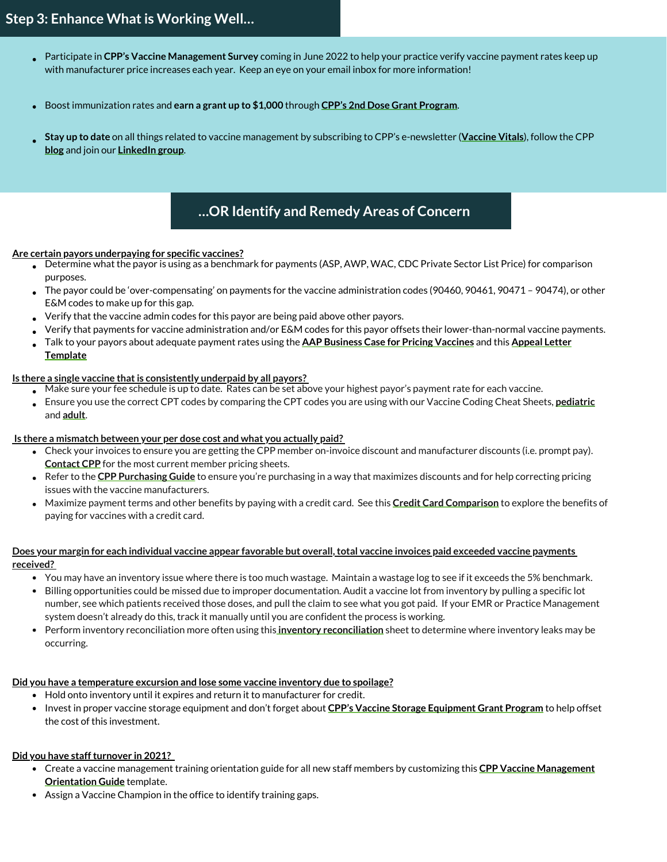- Participate in **CPP's Vaccine Management Survey** coming in June 2022 to help your practice verify vaccine payment rates keep up  $\bullet$ with manufacturer price increases each year. Keep an eye on your email inbox for more information!
- Boost immunization rates and **earn a grant up to \$1,000** through **[CPP's 2nd Dose Grant Program](https://www.cppdocs.org/savings-benefits/2nd-dose-grant-program/)**.
- **Stay up to date** on all things related to vaccine management by subscribing to CPP's e-newsletter (**[Vaccine Vitals](https://www.cppdocs.org/vaccine-vitals/)**), follow the CPP **[blog](https://www.cppdocs.org/blog/)** and join our **[LinkedIn group](https://www.linkedin.com/company/cpp-buying-group/)**.

# **…OR Identify and Remedy Areas of Concern**

#### **Are certain payors underpaying for specific vaccines?**

- Determine what the payor is using as a benchmark for payments (ASP, AWP, WAC, CDC Private Sector List Price) for comparison purposes.
- $\bullet$  The payor could be 'over-compensating' on payments for the vaccine administration codes (90460, 90461, 90471 90474), or other E&M codes to make up for this gap.
- Verify that the vaccine admin codes for this payor are being paid above other payors.
- Verify that payments for vaccine administration and/or E&M codes for this payor offsets their lower-than-normal vaccine payments.
- [Talk to your payors about adequate payment rates using the](https://www.cppdocs.org/vendor-price-change-tools/) **[AAP Business Case for Pricing Vaccines](https://www.hhs.gov/sites/default/files/tab_10.11_adult_financing_business_case_for_providing_vaccines.pdf)** and this **Appeal Letter Template**

#### **Is there a single vaccine that is consistently underpaid by all payors?**

- Make sure your fee schedule is up to date. Rates can be set above your highest payor's payment rate for each vaccine.
- Ensure you use the correct CPT codes by comparing the CPT codes you are using with our Vaccine Coding Cheat Sheets, **[pediatric](https://www.cppdocs.org/resources/coding/)** and **[adult](https://www.cppdocs.org/resources/coding/)**.

#### **Is there a mismatch between your per dose cost and what you actually paid?**

- Check your invoices to ensure you are getting the CPP member on-invoice discount and manufacturer discounts (i.e. prompt pay). **[Contact CPP](mailto:cpp@nationwidechildrens.org?subject=member pricing sheets)** for the most current member pricing sheets.
- Refer to the **[CPP Purchasing Guide](https://www.cppdocs.org/wp-content/uploads/2022/01/CPP-Magnet-New.pdf)** to ensure you're purchasing in a way that maximizes discounts and for help correcting pricing issues with the vaccine manufacturers.
- Maximize payment terms and other benefits by paying with a credit card. See this **[Credit Card Comparison](https://www.cppdocs.org/wp-content/uploads/2022/03/Credit-Card-Options-for-Your-Practice.pdf)** to explore the benefits of paying for vaccines with a credit card.

#### **Does your margin for each individual vaccine appear favorable but overall, total vaccine invoices paid exceeded vaccine payments received?**

- You may have an inventory issue where there is too much wastage. Maintain a wastage log to see if it exceeds the 5% benchmark.
- Billing opportunities could be missed due to improper documentation. Audit a vaccine lot from inventory by pulling a specific lot number, see which patients received those doses, and pull the claim to see what you got paid. If your EMR or Practice Management system doesn't already do this, track it manually until you are confident the process is working.
- Perform inventory reconciliation more often using this **inventory reconciliation** sheet to determine where inventory leaks may be occurring.

## **Did you have a temperature excursion and lose some vaccine inventory due to spoilage?**

- Hold onto inventory until it expires and return it to manufacturer for credit.
- **Invest in proper vaccine storage equipment and don't forget about [CPP's Vaccine Storage Equipment Grant Program](https://www.cppdocs.org/savings-benefits/vaccine-storage-equipment-grant-program/)** to help offset the cost of this investment.

## **Did you have staff turnover in 2021?**

- [Create a vaccine management training orientation guide for all new staff members by customizing this](https://www.cppdocs.org/resources/other-vaccine-management-resources/) **CPP Vaccine Management Orientation Guide** template.
- Assign a Vaccine Champion in the office to identify training gaps.